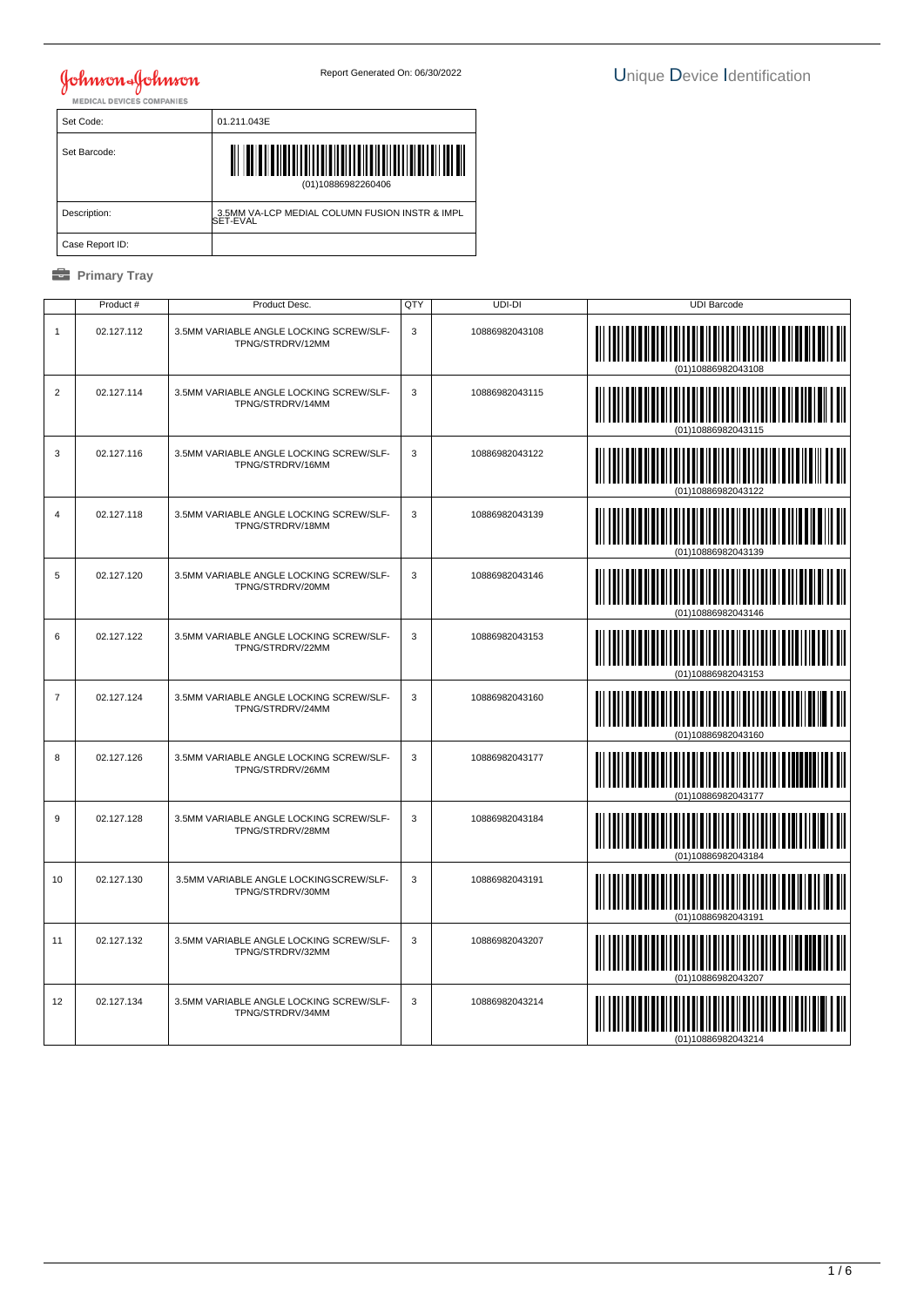### Johnson & Johnson<br>MEDICAL DEVICES COMPANIES

 Set Code: 01.211.043E Set Barcode: (01)10886982260406 │ Description: | 3.5MM VA-LCP MEDIAL COLUMN FUSION INSTR & IMPL<br>SET-EVAL Case Report ID:

|                | Product #  | Product Desc.                                               | QTY | UDI-DI         | <b>UDI Barcode</b> |
|----------------|------------|-------------------------------------------------------------|-----|----------------|--------------------|
| 1              | 02.127.112 | 3.5MM VARIABLE ANGLE LOCKING SCREW/SLF-<br>TPNG/STRDRV/12MM | 3   | 10886982043108 |                    |
| 2              | 02.127.114 | 3.5MM VARIABLE ANGLE LOCKING SCREW/SLF-<br>TPNG/STRDRV/14MM | 3   | 10886982043115 |                    |
| 3              | 02.127.116 | 3.5MM VARIABLE ANGLE LOCKING SCREW/SLF-<br>TPNG/STRDRV/16MM | 3   | 10886982043122 |                    |
| $\overline{4}$ | 02.127.118 | 3.5MM VARIABLE ANGLE LOCKING SCREW/SLF-<br>TPNG/STRDRV/18MM | 3   | 10886982043139 |                    |
| 5              | 02.127.120 | 3.5MM VARIABLE ANGLE LOCKING SCREW/SLF-<br>TPNG/STRDRV/20MM | 3   | 10886982043146 |                    |
| 6              | 02.127.122 | 3.5MM VARIABLE ANGLE LOCKING SCREW/SLF-<br>TPNG/STRDRV/22MM | 3   | 10886982043153 |                    |
| $\overline{7}$ | 02.127.124 | 3.5MM VARIABLE ANGLE LOCKING SCREW/SLF-<br>TPNG/STRDRV/24MM | 3   | 10886982043160 |                    |
| 8              | 02.127.126 | 3.5MM VARIABLE ANGLE LOCKING SCREW/SLF-<br>TPNG/STRDRV/26MM | 3   | 10886982043177 |                    |
| 9              | 02.127.128 | 3.5MM VARIABLE ANGLE LOCKING SCREW/SLF-<br>TPNG/STRDRV/28MM | 3   | 10886982043184 |                    |
| 10             | 02.127.130 | 3.5MM VARIABLE ANGLE LOCKINGSCREW/SLF-<br>TPNG/STRDRV/30MM  | 3   | 10886982043191 |                    |
| 11             | 02.127.132 | 3.5MM VARIABLE ANGLE LOCKING SCREW/SLF-<br>TPNG/STRDRV/32MM | 3   | 10886982043207 |                    |
| 12             | 02.127.134 | 3.5MM VARIABLE ANGLE LOCKING SCREW/SLF-<br>TPNG/STRDRV/34MM | 3   | 10886982043214 |                    |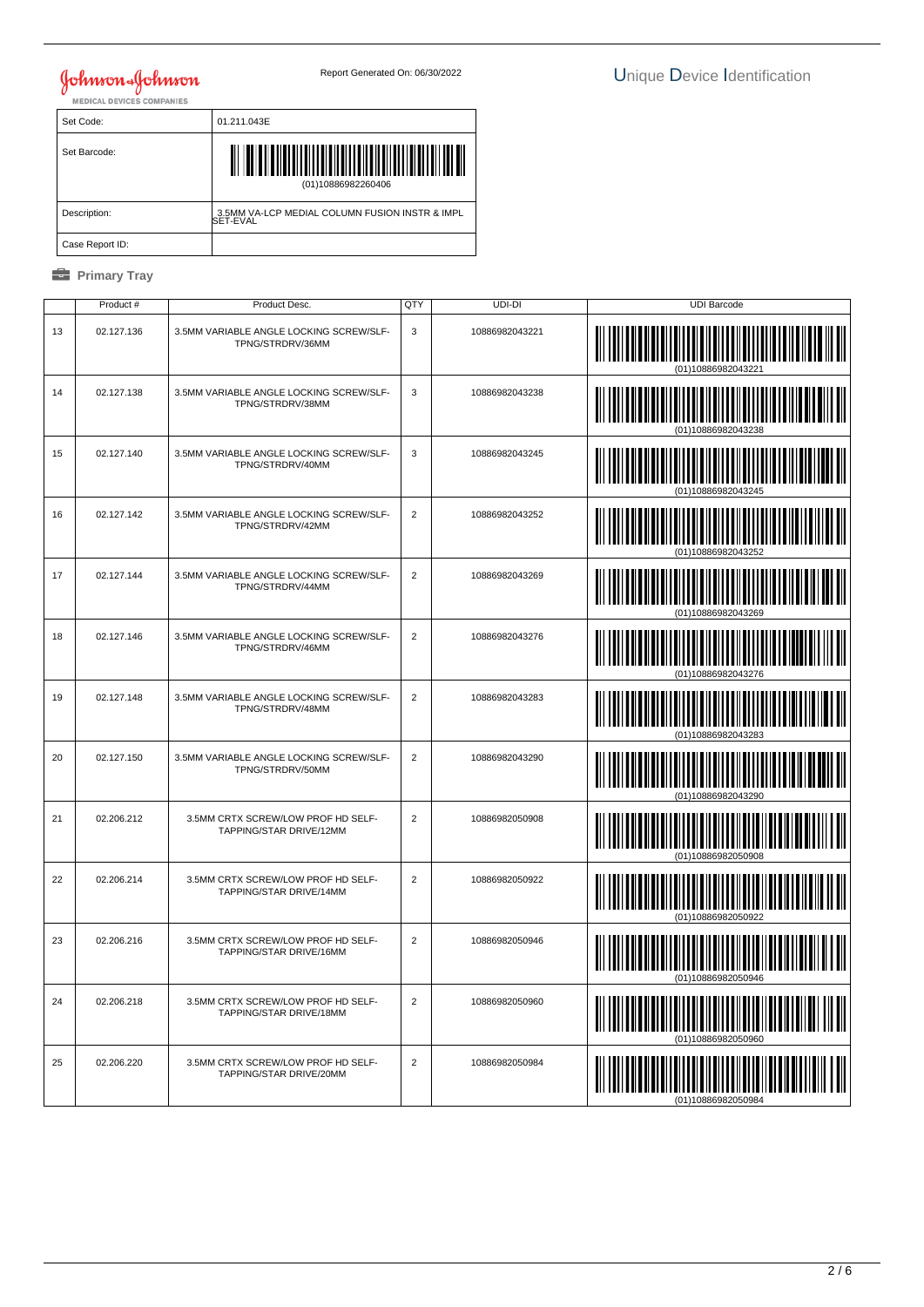Set Code: 01.211.043E Set Barcode: (01)10886982260406 │ Description: | 3.5MM VA-LCP MEDIAL COLUMN FUSION INSTR & IMPL<br>SET-EVAL Case Report ID:

|    | Product #  | Product Desc.                                                 | QTY                     | UDI-DI         | <b>UDI Barcode</b>             |
|----|------------|---------------------------------------------------------------|-------------------------|----------------|--------------------------------|
| 13 | 02.127.136 | 3.5MM VARIABLE ANGLE LOCKING SCREW/SLF-<br>TPNG/STRDRV/36MM   | 3                       | 10886982043221 | <u> IIIIIIIIIIIIIIIIIIIIII</u> |
| 14 | 02.127.138 | 3.5MM VARIABLE ANGLE LOCKING SCREW/SLF-<br>TPNG/STRDRV/38MM   | 3                       | 10886982043238 |                                |
| 15 | 02.127.140 | 3.5MM VARIABLE ANGLE LOCKING SCREW/SLF-<br>TPNG/STRDRV/40MM   | 3                       | 10886982043245 |                                |
| 16 | 02.127.142 | 3.5MM VARIABLE ANGLE LOCKING SCREW/SLF-<br>TPNG/STRDRV/42MM   | $\overline{2}$          | 10886982043252 |                                |
| 17 | 02.127.144 | 3.5MM VARIABLE ANGLE LOCKING SCREW/SLF-<br>TPNG/STRDRV/44MM   | $\overline{2}$          | 10886982043269 |                                |
| 18 | 02.127.146 | 3.5MM VARIABLE ANGLE LOCKING SCREW/SLF-<br>TPNG/STRDRV/46MM   | $\overline{2}$          | 10886982043276 |                                |
| 19 | 02.127.148 | 3.5MM VARIABLE ANGLE LOCKING SCREW/SLF-<br>TPNG/STRDRV/48MM   | $\overline{2}$          | 10886982043283 |                                |
| 20 | 02.127.150 | 3.5MM VARIABLE ANGLE LOCKING SCREW/SLF-<br>TPNG/STRDRV/50MM   | 2                       | 10886982043290 |                                |
| 21 | 02.206.212 | 3.5MM CRTX SCREW/LOW PROF HD SELF-<br>TAPPING/STAR DRIVE/12MM | $\overline{\mathbf{c}}$ | 10886982050908 |                                |
| 22 | 02.206.214 | 3.5MM CRTX SCREW/LOW PROF HD SELF-<br>TAPPING/STAR DRIVE/14MM | 2                       | 10886982050922 | (01)10886982050922             |
| 23 | 02.206.216 | 3.5MM CRTX SCREW/LOW PROF HD SELF-<br>TAPPING/STAR DRIVE/16MM | $\overline{2}$          | 10886982050946 |                                |
| 24 | 02.206.218 | 3.5MM CRTX SCREW/LOW PROF HD SELF-<br>TAPPING/STAR DRIVE/18MM | $\overline{2}$          | 10886982050960 |                                |
| 25 | 02.206.220 | 3.5MM CRTX SCREW/LOW PROF HD SELF-<br>TAPPING/STAR DRIVE/20MM | $\overline{2}$          | 10886982050984 |                                |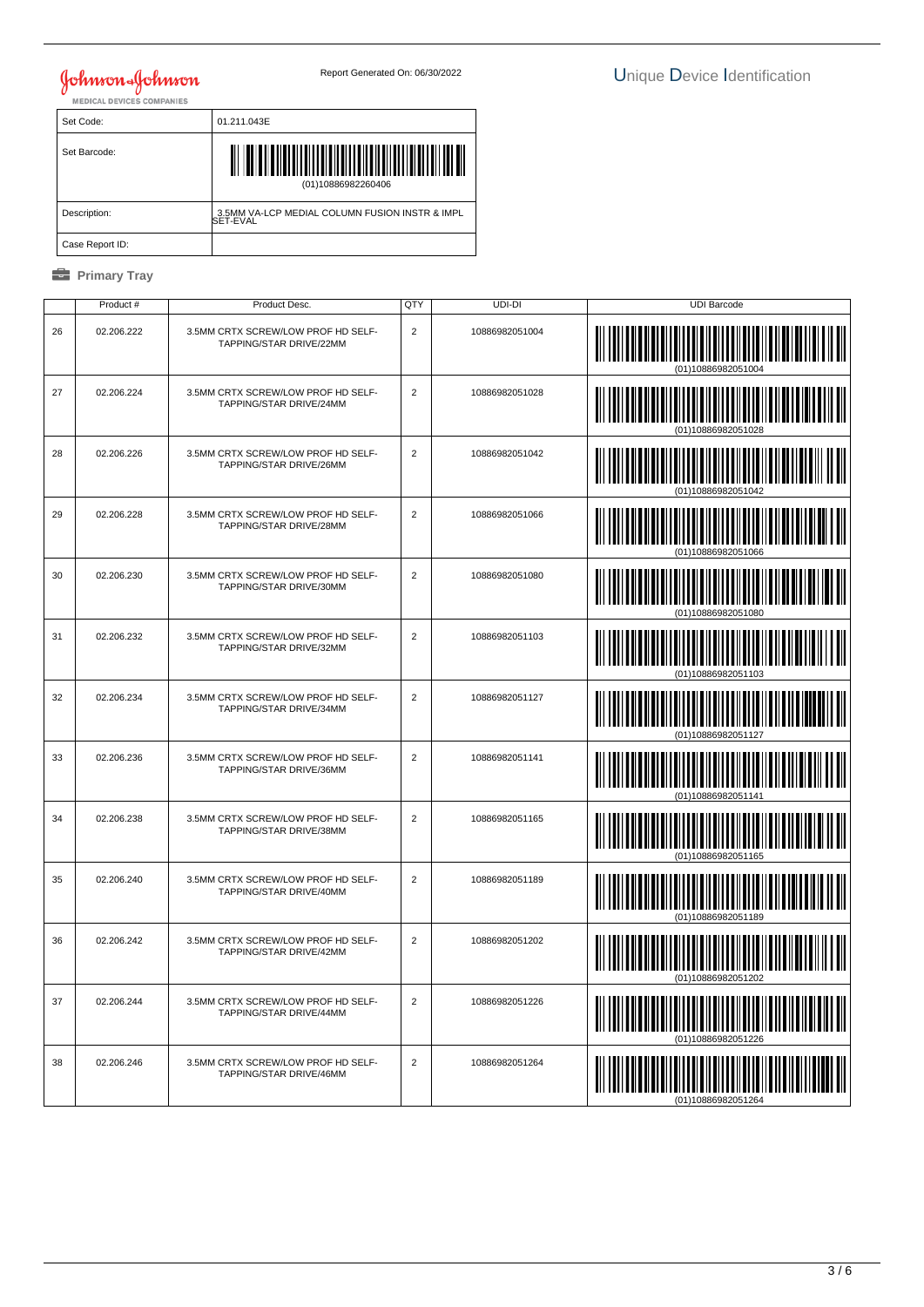Set Code: 01.211.043E Set Barcode: (01)10886982260406 │ Description: | 3.5MM VA-LCP MEDIAL COLUMN FUSION INSTR & IMPL<br>SET-EVAL Case Report ID:

|    | Product #  | Product Desc.                                                 | QTY                     | UDI-DI         | <b>UDI Barcode</b>              |
|----|------------|---------------------------------------------------------------|-------------------------|----------------|---------------------------------|
| 26 | 02.206.222 | 3.5MM CRTX SCREW/LOW PROF HD SELF-<br>TAPPING/STAR DRIVE/22MM | $\overline{2}$          | 10886982051004 |                                 |
| 27 | 02.206.224 | 3.5MM CRTX SCREW/LOW PROF HD SELF-<br>TAPPING/STAR DRIVE/24MM | $\overline{2}$          | 10886982051028 |                                 |
| 28 | 02.206.226 | 3.5MM CRTX SCREW/LOW PROF HD SELF-<br>TAPPING/STAR DRIVE/26MM | $\overline{2}$          | 10886982051042 |                                 |
| 29 | 02.206.228 | 3.5MM CRTX SCREW/LOW PROF HD SELF-<br>TAPPING/STAR DRIVE/28MM | $\overline{2}$          | 10886982051066 |                                 |
| 30 | 02.206.230 | 3.5MM CRTX SCREW/LOW PROF HD SELF-<br>TAPPING/STAR DRIVE/30MM | $\overline{2}$          | 10886982051080 |                                 |
| 31 | 02.206.232 | 3.5MM CRTX SCREW/LOW PROF HD SELF-<br>TAPPING/STAR DRIVE/32MM | $\overline{2}$          | 10886982051103 |                                 |
| 32 | 02.206.234 | 3.5MM CRTX SCREW/LOW PROF HD SELF-<br>TAPPING/STAR DRIVE/34MM | $\overline{2}$          | 10886982051127 |                                 |
| 33 | 02.206.236 | 3.5MM CRTX SCREW/LOW PROF HD SELF-<br>TAPPING/STAR DRIVE/36MM | $\overline{2}$          | 10886982051141 |                                 |
| 34 | 02.206.238 | 3.5MM CRTX SCREW/LOW PROF HD SELF-<br>TAPPING/STAR DRIVE/38MM | $\overline{\mathbf{c}}$ | 10886982051165 |                                 |
| 35 | 02.206.240 | 3.5MM CRTX SCREW/LOW PROF HD SELF-<br>TAPPING/STAR DRIVE/40MM | 2                       | 10886982051189 | WINDIN IN<br>(01)10886982051189 |
| 36 | 02.206.242 | 3.5MM CRTX SCREW/LOW PROF HD SELF-<br>TAPPING/STAR DRIVE/42MM | 2                       | 10886982051202 |                                 |
| 37 | 02.206.244 | 3.5MM CRTX SCREW/LOW PROF HD SELF-<br>TAPPING/STAR DRIVE/44MM | $\overline{2}$          | 10886982051226 |                                 |
| 38 | 02.206.246 | 3.5MM CRTX SCREW/LOW PROF HD SELF-<br>TAPPING/STAR DRIVE/46MM | $\overline{2}$          | 10886982051264 |                                 |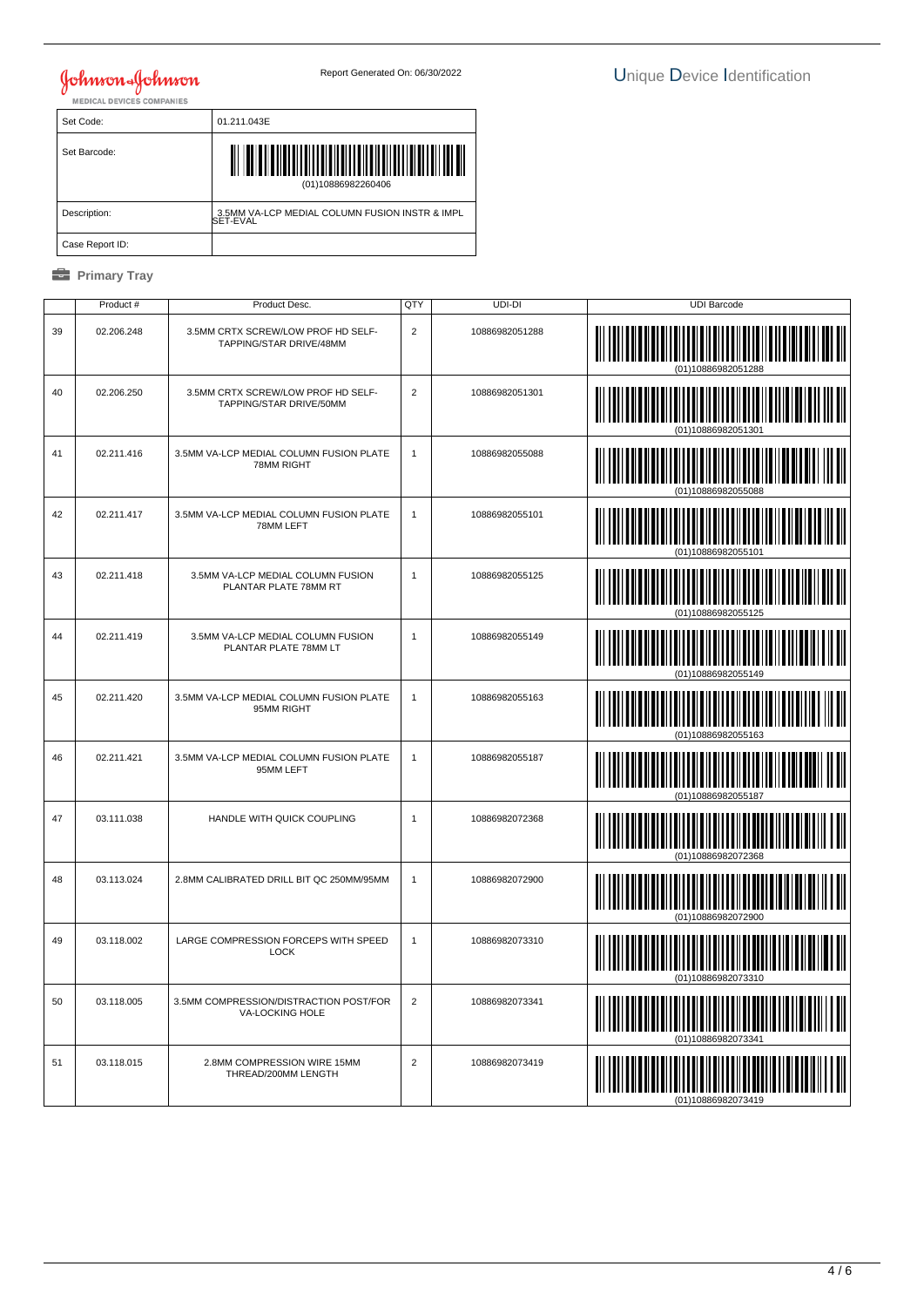Set Code: 01.211.043E Set Barcode: (01)10886982260406 │ Description: | 3.5MM VA-LCP MEDIAL COLUMN FUSION INSTR & IMPL<br>SET-EVAL Case Report ID:

|    | Product#   | Product Desc.                                                 | QTY            | UDI-DI         | <b>UDI Barcode</b> |
|----|------------|---------------------------------------------------------------|----------------|----------------|--------------------|
| 39 | 02.206.248 | 3.5MM CRTX SCREW/LOW PROF HD SELF-<br>TAPPING/STAR DRIVE/48MM | 2              | 10886982051288 |                    |
| 40 | 02.206.250 | 3.5MM CRTX SCREW/LOW PROF HD SELF-<br>TAPPING/STAR DRIVE/50MM | $\overline{2}$ | 10886982051301 |                    |
| 41 | 02.211.416 | 3.5MM VA-LCP MEDIAL COLUMN FUSION PLATE<br>78MM RIGHT         | $\mathbf{1}$   | 10886982055088 |                    |
| 42 | 02.211.417 | 3.5MM VA-LCP MEDIAL COLUMN FUSION PLATE<br>78MM LEFT          | $\mathbf{1}$   | 10886982055101 |                    |
| 43 | 02.211.418 | 3.5MM VA-LCP MEDIAL COLUMN FUSION<br>PLANTAR PLATE 78MM RT    | $\mathbf{1}$   | 10886982055125 |                    |
| 44 | 02.211.419 | 3.5MM VA-LCP MEDIAL COLUMN FUSION<br>PLANTAR PLATE 78MM LT    | $\mathbf{1}$   | 10886982055149 |                    |
| 45 | 02.211.420 | 3.5MM VA-LCP MEDIAL COLUMN FUSION PLATE<br>95MM RIGHT         | $\mathbf{1}$   | 10886982055163 | (01)10886982055163 |
| 46 | 02.211.421 | 3.5MM VA-LCP MEDIAL COLUMN FUSION PLATE<br>95MM LEFT          | $\mathbf{1}$   | 10886982055187 |                    |
| 47 | 03.111.038 | HANDLE WITH QUICK COUPLING                                    | $\mathbf{1}$   | 10886982072368 |                    |
| 48 | 03.113.024 | 2.8MM CALIBRATED DRILL BIT QC 250MM/95MM                      | 1              | 10886982072900 | (01)10886982072900 |
| 49 | 03.118.002 | LARGE COMPRESSION FORCEPS WITH SPEED<br><b>LOCK</b>           | $\mathbf{1}$   | 10886982073310 |                    |
| 50 | 03.118.005 | 3.5MM COMPRESSION/DISTRACTION POST/FOR<br>VA-LOCKING HOLE     | $\overline{c}$ | 10886982073341 | 01)10886982073341  |
| 51 | 03.118.015 | 2.8MM COMPRESSION WIRE 15MM<br>THREAD/200MM LENGTH            | $\overline{2}$ | 10886982073419 |                    |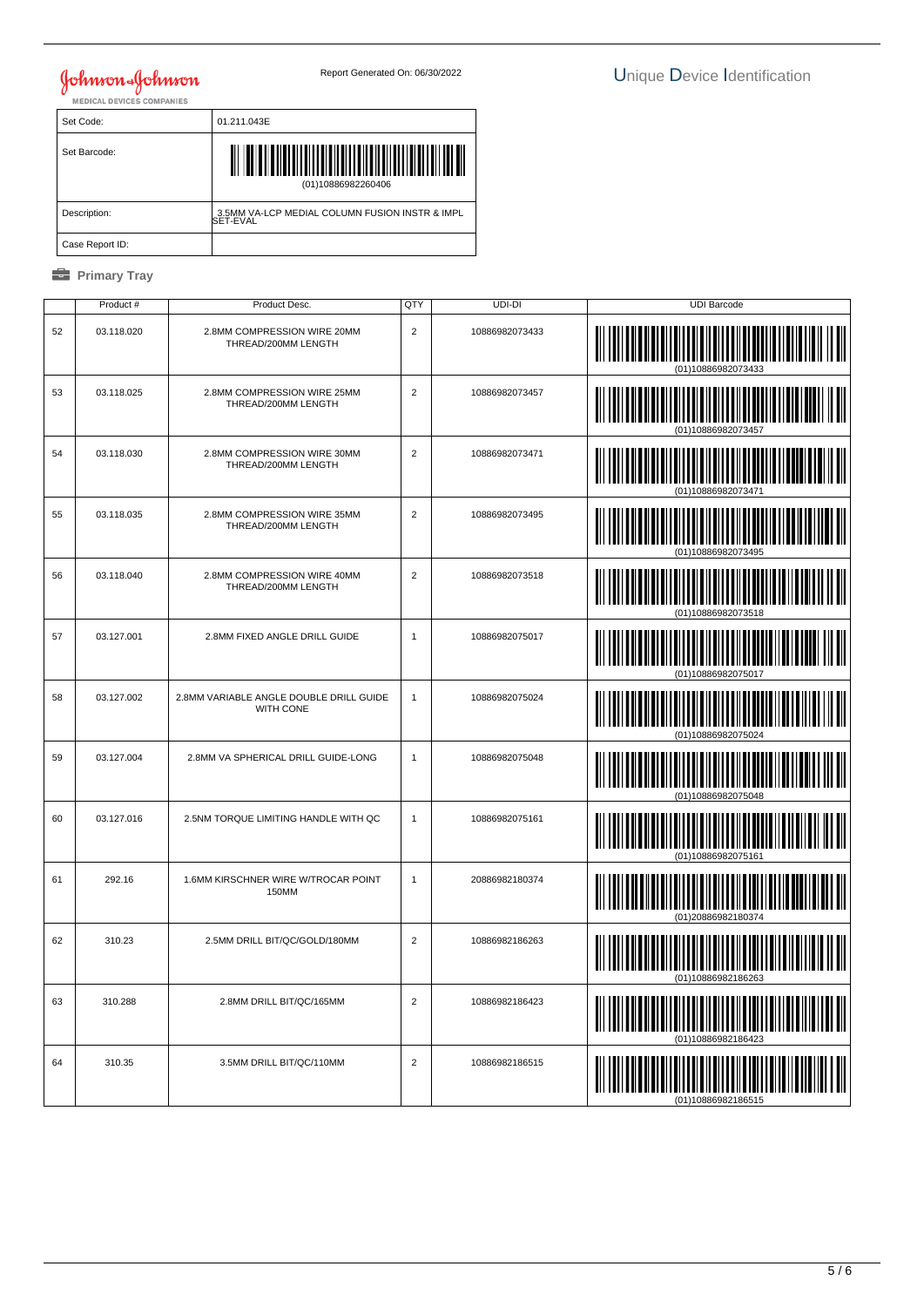Set Code: 01.211.043E Set Barcode: (01)10886982260406 │ Description: | 3.5MM VA-LCP MEDIAL COLUMN FUSION INSTR & IMPL<br>SET-EVAL Case Report ID:

|    | Product #  | Product Desc.                                               | QTY            | UDI-DI         | <b>UDI Barcode</b>                    |
|----|------------|-------------------------------------------------------------|----------------|----------------|---------------------------------------|
| 52 | 03.118.020 | 2.8MM COMPRESSION WIRE 20MM<br>THREAD/200MM LENGTH          | $\overline{2}$ | 10886982073433 |                                       |
| 53 | 03.118.025 | 2.8MM COMPRESSION WIRE 25MM<br>THREAD/200MM LENGTH          | $\overline{2}$ | 10886982073457 |                                       |
| 54 | 03.118.030 | 2.8MM COMPRESSION WIRE 30MM<br>THREAD/200MM LENGTH          | $\overline{2}$ | 10886982073471 |                                       |
| 55 | 03.118.035 | 2.8MM COMPRESSION WIRE 35MM<br>THREAD/200MM LENGTH          | 2              | 10886982073495 |                                       |
| 56 | 03.118.040 | 2.8MM COMPRESSION WIRE 40MM<br>THREAD/200MM LENGTH          | $\overline{2}$ | 10886982073518 |                                       |
| 57 | 03.127.001 | 2.8MM FIXED ANGLE DRILL GUIDE                               | $\mathbf{1}$   | 10886982075017 | (01)10886982075017                    |
| 58 | 03.127.002 | 2.8MM VARIABLE ANGLE DOUBLE DRILL GUIDE<br><b>WITH CONE</b> | 1              | 10886982075024 |                                       |
| 59 | 03.127.004 | 2.8MM VA SPHERICAL DRILL GUIDE-LONG                         | $\mathbf{1}$   | 10886982075048 |                                       |
| 60 | 03.127.016 | 2.5NM TORQUE LIMITING HANDLE WITH QC                        | $\mathbf{1}$   | 10886982075161 | $\begin{array}{c} \hline \end{array}$ |
| 61 | 292.16     | 1.6MM KIRSCHNER WIRE W/TROCAR POINT<br>150MM                | 1              | 20886982180374 | (01)20886982180374                    |
| 62 | 310.23     | 2.5MM DRILL BIT/QC/GOLD/180MM                               | $\overline{2}$ | 10886982186263 |                                       |
| 63 | 310.288    | 2.8MM DRILL BIT/QC/165MM                                    | $\overline{2}$ | 10886982186423 | (01)10886982186423                    |
| 64 | 310.35     | 3.5MM DRILL BIT/QC/110MM                                    | $\overline{2}$ | 10886982186515 |                                       |